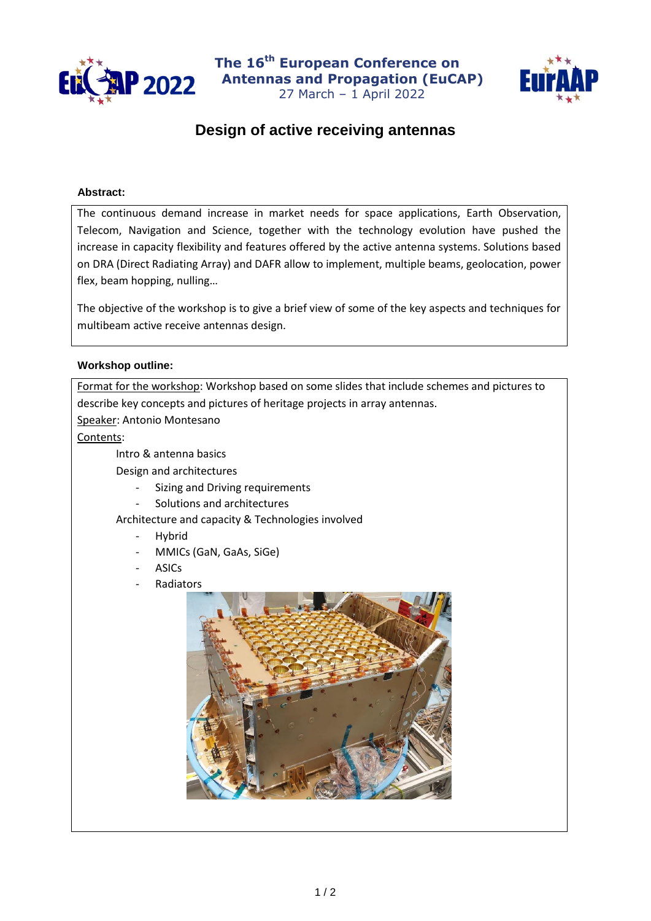

**The 16 th European Conference on P 2022** Antennas and Propagation (EuCAP) 27 March – 1 April 2022



## **Design of active receiving antennas**

## **Abstract:**

The continuous demand increase in market needs for space applications, Earth Observation, Telecom, Navigation and Science, together with the technology evolution have pushed the increase in capacity flexibility and features offered by the active antenna systems. Solutions based on DRA (Direct Radiating Array) and DAFR allow to implement, multiple beams, geolocation, power flex, beam hopping, nulling…

The objective of the workshop is to give a brief view of some of the key aspects and techniques for multibeam active receive antennas design.

## **Workshop outline:**

Format for the workshop: Workshop based on some slides that include schemes and pictures to describe key concepts and pictures of heritage projects in array antennas.

Speaker: Antonio Montesano

Contents:

Intro & antenna basics

Design and architectures

- Sizing and Driving requirements
- Solutions and architectures

Architecture and capacity & Technologies involved

- Hybrid
- MMICs (GaN, GaAs, SiGe)
- **ASICs**
- **Radiators**